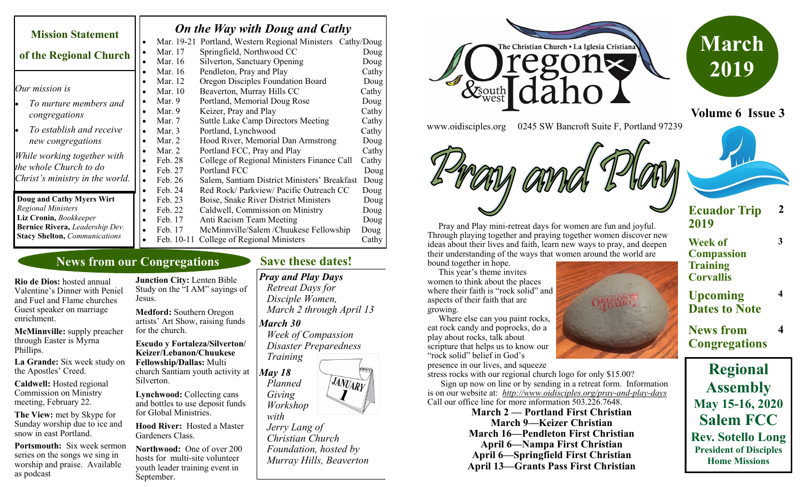| <b>Mission Statement</b>             | <b>On the Way with Doug and Cathy</b> |            |                                                            |       |
|--------------------------------------|---------------------------------------|------------|------------------------------------------------------------|-------|
|                                      |                                       |            | Mar. 19-21 Portland, Western Regional Ministers Cathy/Doug |       |
| of the Regional Church               | $\bullet$                             | Mar. 17    | Springfield, Northwood CC                                  | Doug  |
|                                      |                                       | Mar. 16    | Silverton, Sanctuary Opening                               | Doug  |
|                                      |                                       | Mar. 16    | Pendleton, Pray and Play                                   | Cathy |
|                                      |                                       | Mar. 12    | Oregon Disciples Foundation Board                          | Doug  |
| Our mission is                       |                                       | Mar. 10    | Beaverton, Murray Hills CC                                 | Cathy |
| To nurture members and               |                                       | Mar. $9$   | Portland, Memorial Doug Rose                               | Doug  |
| congregations                        |                                       | Mar. $9$   | Keizer, Pray and Play                                      | Cathy |
|                                      |                                       | Mar. 7     | <b>Suttle Lake Camp Directors Meeting</b>                  | Cathy |
| To establish and receive             |                                       | Mar. $3$   | Portland, Lynchwood                                        | Cathy |
| new congregations                    |                                       | Mar. 2     | Hood River, Memorial Dan Armstrong                         | Doug  |
|                                      |                                       | Mar. $2$   | Portland FCC, Pray and Play                                | Cathy |
| While working together with          |                                       | Feb. 28    | College of Regional Ministers Finance Call                 | Cathy |
| the whole Church to do               | $\bullet$                             | Feb. 27    | Portland FCC                                               | Doug  |
| Christ's ministry in the world.      |                                       | Feb. 26    | Salem, Santiam District Ministers' Breakfast               | Doug  |
|                                      |                                       | Feb. 24    | Red Rock/Parkview/Pacific Outreach CC                      | Doug  |
| Doug and Cathy Myers Wirt            |                                       | Feb. 23    | Boise, Snake River District Ministers                      | Doug  |
| <b>Regional Ministers</b>            | ٠                                     | Feb. 22    | Caldwell, Commission on Ministry                           | Doug  |
| Liz Cronin, Bookkeeper               |                                       | Feb. 17    | Anti Racism Team Meeting                                   | Doug  |
| Bernice Rivera, Leadership Dev.      |                                       | Feb. 17    | McMinnville/Salem /Chuukese Fellowship                     | Doug  |
| <b>Stacy Shelton, Communications</b> |                                       | Feb. 10-11 | College of Regional Ministers                              | Cathy |

## **News from our Congregations**

**Rio de Dios:** hosted annual Valentine's Dinner with Peniel and Fuel and Flame churches Guest speaker on marriage enrichment.

**McMinnville:** supply preacher through Easter is Myrna Phillips.

**La Grande:** Six week study on the Apostles' Creed.

**Caldwell:** Hosted regional Commission on Ministry meeting, February 22.

**The View:** met by Skype for Sunday worship due to ice and snow in east Portland.

**Portsmouth:** Six week sermon series on the songs we sing in worship and praise. Available as podcast

**Junction City:** Lenten Bible Study on the "I AM" sayings of Jesus.

**Medford:** Southern Oregon artists' Art Show, raising funds for the church.

**Escudo y Fortaleza/Silverton/ Keizer/Lebanon/Chuukese Fellowship/Dallas:** Multi church Santiam youth activity at Silverton.

**Lynchwood:** Collecting cans and bottles to use deposit funds for Global Ministries.

**Hood River:** Hosted a Master Gardeners Class.

**Northwood:** One of over 200 hosts for multi-site volunteer youth leader training event in September.

## **Save these dates!**

*Pray and Play Days Retreat Days for Disciple Women, March 2 through April 13 March 30 Week of Compassion Disaster Preparedness Training May 18* JANUARY  *Planned Giving Workshop with Jerry Lang of Christian Church* 

 *Foundation, hosted by Murray Hills, Beaverton*





**Volume 6 Issue 3**

www.oidisciples.org 0245 SW Bancroft Suite F, Portland 97239





This year's theme invites

women to think about the places where their faith is "rock solid" and aspects of their faith that are growing.

 Where else can you paint rocks, eat rock candy and poprocks, do a play about rocks, talk about scripture that helps us to know our "rock solid" belief in God's

presence in our lives, and squeeze

stress rocks with our regional church logo for only \$15.00? Sign up now on line or by sending in a retreat form. Information is on our website at: *http://www.oidisciples.org/pray-and-play-days* 

Call our office line for more information 503.226.7648. **March 2 — Portland First Christian**

**March 9—Keizer Christian March 16—Pendleton First Christian April 6—Nampa First Christian April 6—Springfield First Christian April 13—Grants Pass First Christian**





#### **Ecuador Trip 2019 2**

**3**

**4**

**4**

**Week of Compassion Training Corvallis**

**Upcoming Dates to Note**

**News from Congregations**

**Regional Assembly May 15-16, 2020 Salem FCC Rev. Sotello Long President of Disciples Home Missions**